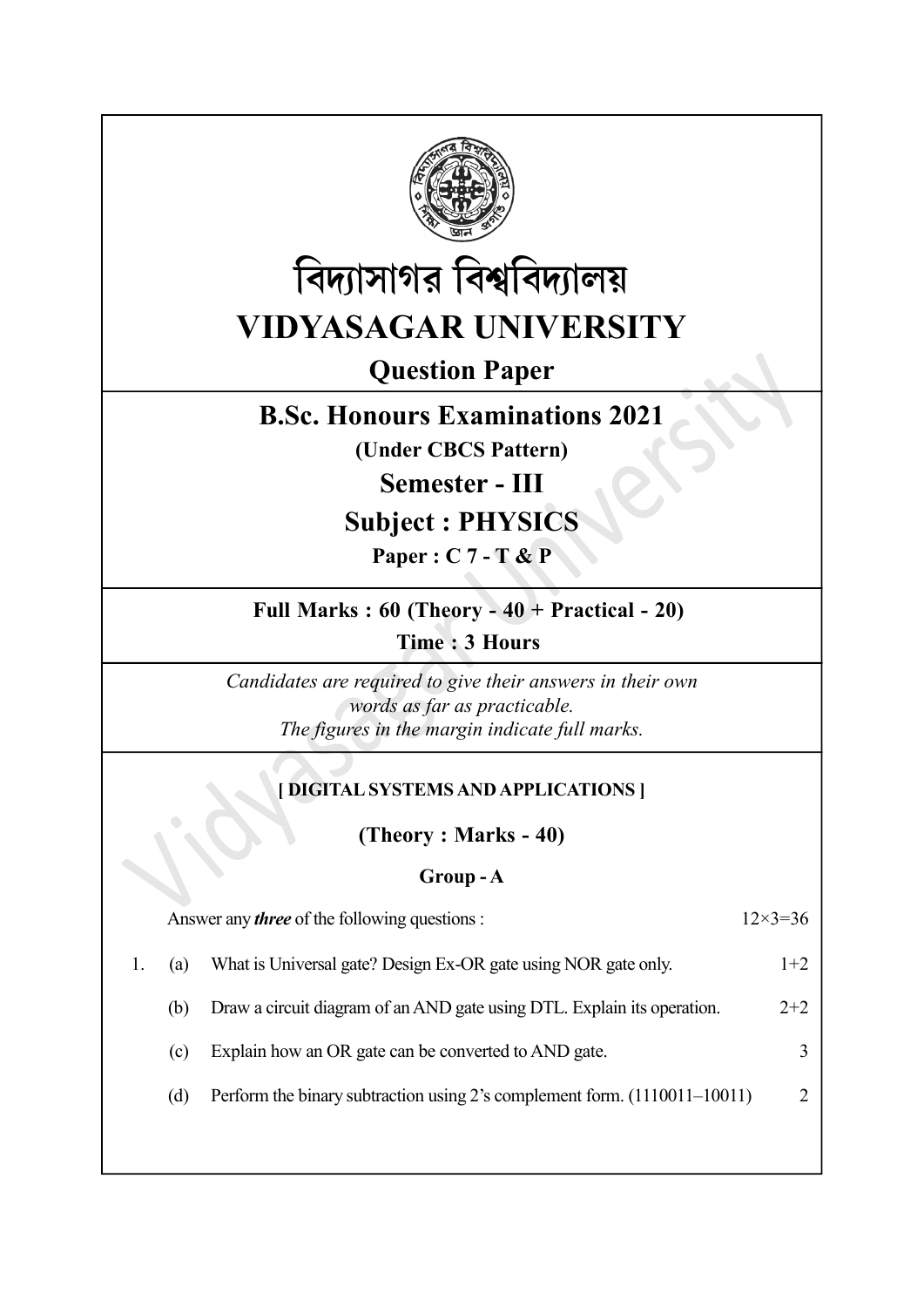



# Question Paper

# B.Sc. Honours Examinations 2021

(Under CBCS Pattern)

Semester - III

## Subject : PHYSICS

Paper : C 7 - T & P

## Full Marks : 60 (Theory - 40 + Practical - 20)

Time : 3 Hours

Candidates are required to give their answers in their own words as far as practicable. The figures in the margin indicate full marks.

## [ DIGITAL SYSTEMS AND APPLICATIONS ]

(Theory : Marks - 40)

### Group - A

| Answer any <i>three</i> of the following questions : |                                                                           |       |
|------------------------------------------------------|---------------------------------------------------------------------------|-------|
| (a)                                                  | What is Universal gate? Design Ex-OR gate using NOR gate only.            | $1+2$ |
| (b)                                                  | Draw a circuit diagram of an AND gate using DTL. Explain its operation.   | $2+2$ |
| (c)                                                  | Explain how an OR gate can be converted to AND gate.                      |       |
| (d)                                                  | Perform the binary subtraction using 2's complement form. (1110011–10011) |       |
|                                                      |                                                                           |       |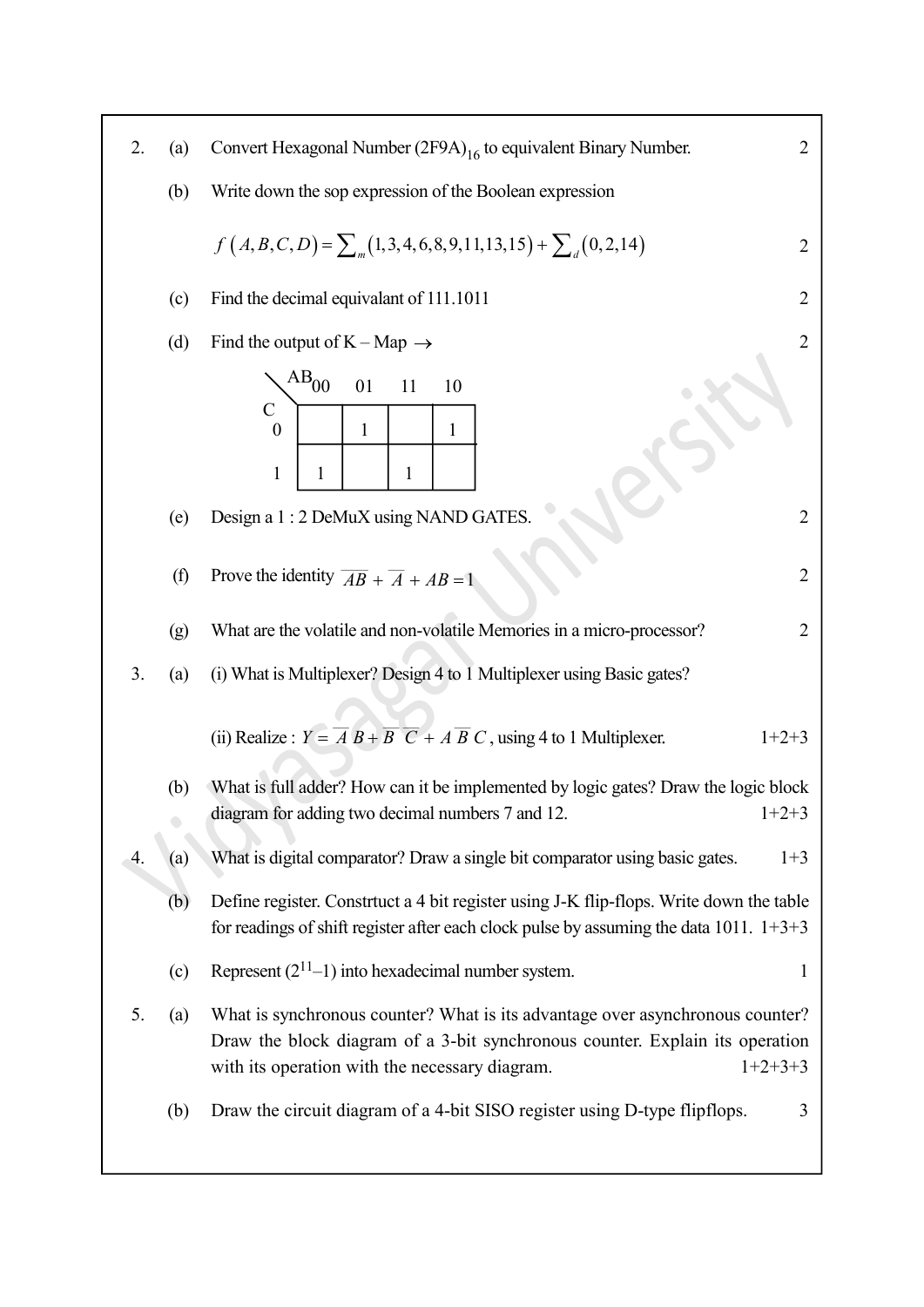| 2. | (a) | Convert Hexagonal Number (2F9A) <sub>16</sub> to equivalent Binary Number.                                                                                                                                                   | $\overline{2}$ |
|----|-----|------------------------------------------------------------------------------------------------------------------------------------------------------------------------------------------------------------------------------|----------------|
|    | (b) | Write down the sop expression of the Boolean expression                                                                                                                                                                      |                |
|    |     | $f(A, B, C, D) = \sum_{m} (1, 3, 4, 6, 8, 9, 11, 13, 15) + \sum_{d} (0, 2, 14)$                                                                                                                                              | $\overline{2}$ |
|    | (c) | Find the decimal equivalant of 111.1011                                                                                                                                                                                      | $\overline{2}$ |
|    | (d) | Find the output of $K - Map \rightarrow$                                                                                                                                                                                     | $\overline{2}$ |
|    | (e) | $\rm{AB}_{00}$<br>01<br>11<br>10<br>$\mathcal{C}$<br>$\boldsymbol{0}$<br>$\mathbf{1}$<br>$\mathbf{1}$<br>$\mathbf{1}$<br>$\mathbf{1}$<br>1<br>Design a 1:2 DeMuX using NAND GATES.                                           | $\overline{2}$ |
|    |     |                                                                                                                                                                                                                              |                |
|    | (f) | Prove the identity $\overline{AB} + \overline{A} + AB = 1$                                                                                                                                                                   | 2              |
|    | (g) | What are the volatile and non-volatile Memories in a micro-processor?                                                                                                                                                        | $\overline{2}$ |
| 3. | (a) | (i) What is Multiplexer? Design 4 to 1 Multiplexer using Basic gates?                                                                                                                                                        |                |
|    |     | (ii) Realize : $Y = \overline{A} B + \overline{B} \ \overline{C} + A \ \overline{B} C$ , using 4 to 1 Multiplexer.<br>$1+2+3$                                                                                                |                |
|    | (b) | What is full adder? How can it be implemented by logic gates? Draw the logic block                                                                                                                                           |                |
|    |     | diagram for adding two decimal numbers 7 and 12.<br>$1+2+3$                                                                                                                                                                  |                |
| 4. | (a) | What is digital comparator? Draw a single bit comparator using basic gates.                                                                                                                                                  | $1+3$          |
|    | (b) | Define register. Constrtuct a 4 bit register using J-K flip-flops. Write down the table<br>for readings of shift register after each clock pulse by assuming the data 1011. $1+3+3$                                          |                |
|    | (c) | Represent $(2^{11}-1)$ into hexadecimal number system.                                                                                                                                                                       | 1              |
| 5. | (a) | What is synchronous counter? What is its advantage over asynchronous counter?<br>Draw the block diagram of a 3-bit synchronous counter. Explain its operation<br>$1+2+3+3$<br>with its operation with the necessary diagram. |                |
|    | (b) | Draw the circuit diagram of a 4-bit SISO register using D-type flipflops.                                                                                                                                                    | 3              |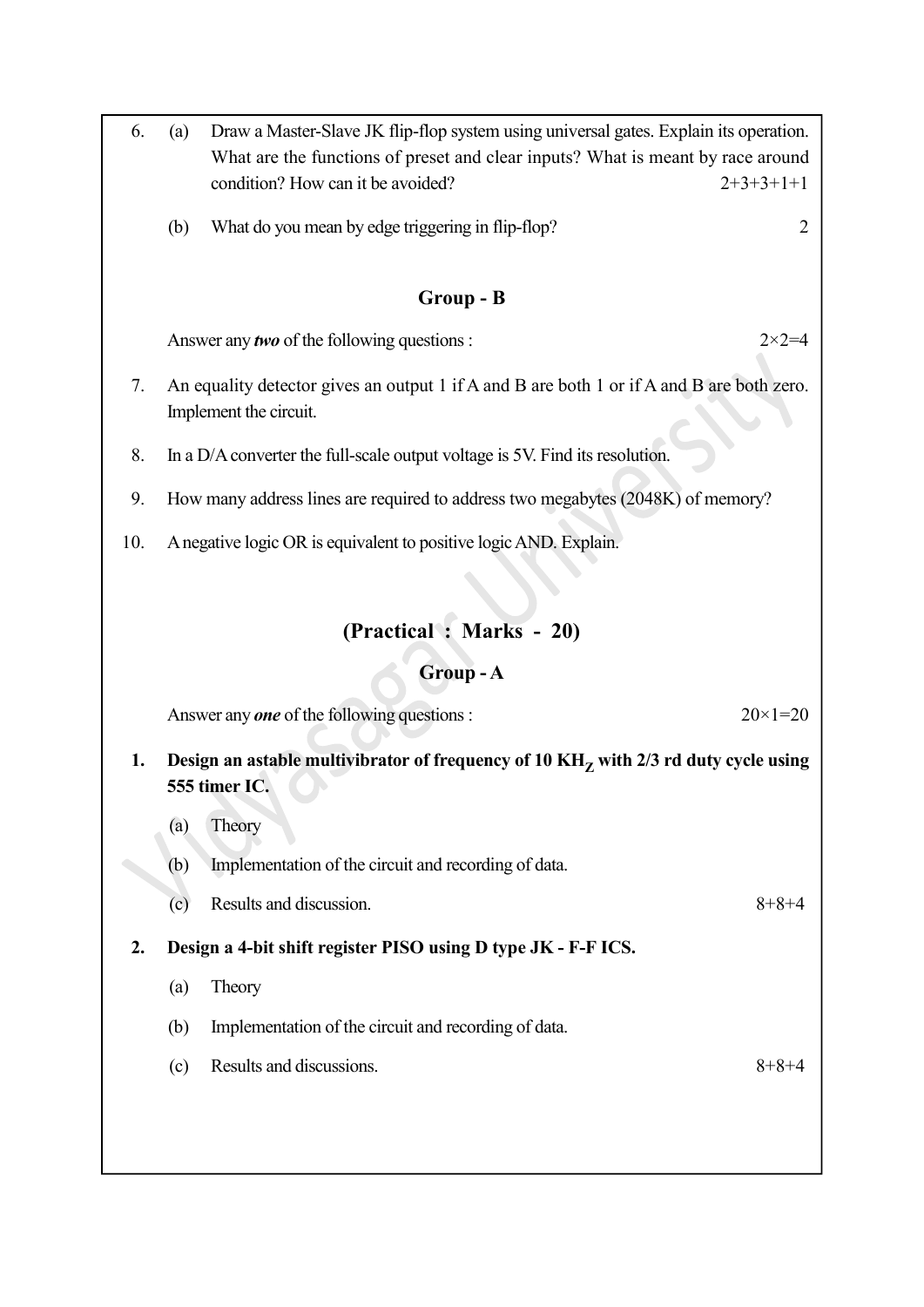- 6. (a) Draw a Master-Slave JK flip-flop system using universal gates. Explain its operation. What are the functions of preset and clear inputs? What is meant by race around condition? How can it be avoided?  $2+3+3+1+1$ 
	- (b) What do you mean by edge triggering in flip-flop? 2

### Group - B

Answer any *two* of the following questions :  $2 \times 2 = 4$ 

- 7. An equality detector gives an output 1 if A and B are both 1 or if A and B are both zero. Implement the circuit.
- 8. In a D/A converter the full-scale output voltage is 5V. Find its resolution.
- 9. How many address lines are required to address two megabytes (2048K) of memory?
- 10. A negative logic OR is equivalent to positive logic AND. Explain.

## (Practical : Marks - 20)

#### Group - A

Answer any **one** of the following questions :  $20 \times 1 = 20$ 

## 1. Design an astable multivibrator of frequency of 10  $\rm{KH}_{Z}$  with 2/3 rd duty cycle using 555 timer IC.

- (a) Theory
- (b) Implementation of the circuit and recording of data.
- (c) Results and discussion.  $8+8+4$
- 2. Design a 4-bit shift register PISO using D type JK F-F ICS.
	- (a) Theory
	- (b) Implementation of the circuit and recording of data.
	- (c) Results and discussions.  $8+8+4$